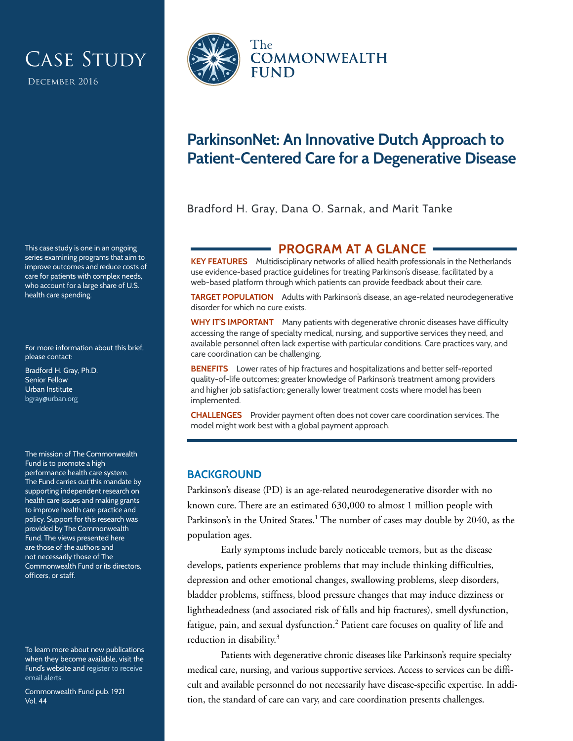# CASE STUDY

December 2016

This case study is one in an ongoing series examining programs that aim to improve outcomes and reduce costs of care for patients with complex needs, who account for a large share of U.S. health care spending.

For more information about this brief, please contact:

Bradford H. Gray, Ph.D. Senior Fellow Urban Institute [bgray@urban.org](mailto:bgray@urban.org)

The mission of The Commonwealth Fund is to promote a high performance health care system. The Fund carries out this mandate by supporting independent research on health care issues and making grants to improve health care practice and policy. Support for this research was provided by The Commonwealth Fund. The views presented here are those of the authors and not necessarily those of The Commonwealth Fund or its directors, officers, or staff.

To learn more about new publications when they become available, visit the Fund's website and [register to receive](http://www.commonwealthfund.org/myprofile/myprofile_edit.htm)  [email alerts.](http://www.commonwealthfund.org/myprofile/myprofile_edit.htm)

Commonwealth Fund pub. 1921 Vol. 44



# **ParkinsonNet: An Innovative Dutch Approach to Patient-Centered Care for a Degenerative Disease**

Bradford H. Gray, Dana O. Sarnak, and Marit Tanke

# **PROGRAM AT A GLANCE**

**KEY FEATURES** Multidisciplinary networks of allied health professionals in the Netherlands use evidence-based practice guidelines for treating Parkinson's disease, facilitated by a web-based platform through which patients can provide feedback about their care.

**TARGET POPULATION** Adults with Parkinson's disease, an age-related neurodegenerative disorder for which no cure exists.

**WHY IT'S IMPORTANT** Many patients with degenerative chronic diseases have difficulty accessing the range of specialty medical, nursing, and supportive services they need, and available personnel often lack expertise with particular conditions. Care practices vary, and care coordination can be challenging.

**BENEFITS** Lower rates of hip fractures and hospitalizations and better self-reported quality-of-life outcomes; greater knowledge of Parkinson's treatment among providers and higher job satisfaction; generally lower treatment costs where model has been implemented.

**CHALLENGES** Provider payment often does not cover care coordination services. The model might work best with a global payment approach.

## **BACKGROUND**

Parkinson's disease (PD) is an age-related neurodegenerative disorder with no known cure. There are an estimated 630,000 to almost 1 million people with Parkinson's in the United States.<sup>1</sup> The number of cases may double by 2040, as the population ages.

Early symptoms include barely noticeable tremors, but as the disease develops, patients experience problems that may include thinking difficulties, depression and other emotional changes, swallowing problems, sleep disorders, bladder problems, stiffness, blood pressure changes that may induce dizziness or lightheadedness (and associated risk of falls and hip fractures), smell dysfunction, fatigue, pain, and sexual dysfunction.<sup>2</sup> Patient care focuses on quality of life and reduction in disability.<sup>3</sup>

Patients with degenerative chronic diseases like Parkinson's require specialty medical care, nursing, and various supportive services. Access to services can be difficult and available personnel do not necessarily have disease-specific expertise. In addition, the standard of care can vary, and care coordination presents challenges.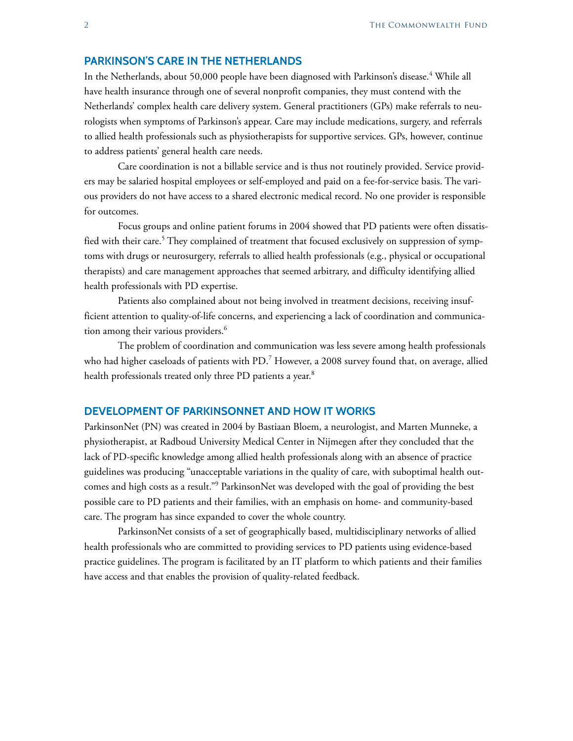#### **PARKINSON'S CARE IN THE NETHERLANDS**

In the Netherlands, about 50,000 people have been diagnosed with Parkinson's disease.<sup>4</sup> While all have health insurance through one of several nonprofit companies, they must contend with the Netherlands' complex health care delivery system. General practitioners (GPs) make referrals to neurologists when symptoms of Parkinson's appear. Care may include medications, surgery, and referrals to allied health professionals such as physiotherapists for supportive services. GPs, however, continue to address patients' general health care needs.

Care coordination is not a billable service and is thus not routinely provided. Service providers may be salaried hospital employees or self-employed and paid on a fee-for-service basis. The various providers do not have access to a shared electronic medical record. No one provider is responsible for outcomes.

Focus groups and online patient forums in 2004 showed that PD patients were often dissatisfied with their care. $^5$  They complained of treatment that focused exclusively on suppression of symptoms with drugs or neurosurgery, referrals to allied health professionals (e.g., physical or occupational therapists) and care management approaches that seemed arbitrary, and difficulty identifying allied health professionals with PD expertise.

Patients also complained about not being involved in treatment decisions, receiving insufficient attention to quality-of-life concerns, and experiencing a lack of coordination and communication among their various providers.<sup>6</sup>

The problem of coordination and communication was less severe among health professionals who had higher caseloads of patients with PD. $^7$  However, a 2008 survey found that, on average, allied health professionals treated only three PD patients a year.<sup>8</sup>

#### **DEVELOPMENT OF PARKINSONNET AND HOW IT WORKS**

ParkinsonNet (PN) was created in 2004 by Bastiaan Bloem, a neurologist, and Marten Munneke, a physiotherapist, at Radboud University Medical Center in Nijmegen after they concluded that the lack of PD-specific knowledge among allied health professionals along with an absence of practice guidelines was producing "unacceptable variations in the quality of care, with suboptimal health outcomes and high costs as a result."<sup>9</sup> ParkinsonNet was developed with the goal of providing the best possible care to PD patients and their families, with an emphasis on home- and community-based care. The program has since expanded to cover the whole country.

ParkinsonNet consists of a set of geographically based, multidisciplinary networks of allied health professionals who are committed to providing services to PD patients using evidence-based practice guidelines. The program is facilitated by an IT platform to which patients and their families have access and that enables the provision of quality-related feedback.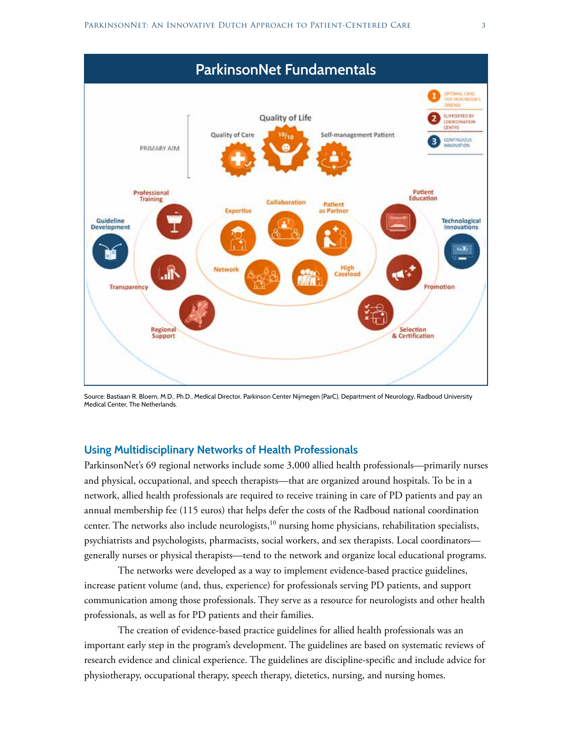

Source: Bastiaan R. Bloem, M.D., Ph.D., Medical Director, Parkinson Center Nijmegen (ParC), Department of Neurology, Radboud University Medical Center, The Netherlands.

#### **Using Multidisciplinary Networks of Health Professionals**

ParkinsonNet's 69 regional networks include some 3,000 allied health professionals—primarily nurses and physical, occupational, and speech therapists—that are organized around hospitals. To be in a network, allied health professionals are required to receive training in care of PD patients and pay an annual membership fee (115 euros) that helps defer the costs of the Radboud national coordination center. The networks also include neurologists, $10$  nursing home physicians, rehabilitation specialists, psychiatrists and psychologists, pharmacists, social workers, and sex therapists. Local coordinators generally nurses or physical therapists—tend to the network and organize local educational programs.

The networks were developed as a way to implement evidence-based practice guidelines, increase patient volume (and, thus, experience) for professionals serving PD patients, and support communication among those professionals. They serve as a resource for neurologists and other health professionals, as well as for PD patients and their families.

The creation of evidence-based practice guidelines for allied health professionals was an important early step in the program's development. The guidelines are based on systematic reviews of research evidence and clinical experience. The guidelines are discipline-specific and include advice for physiotherapy, occupational therapy, speech therapy, dietetics, nursing, and nursing homes.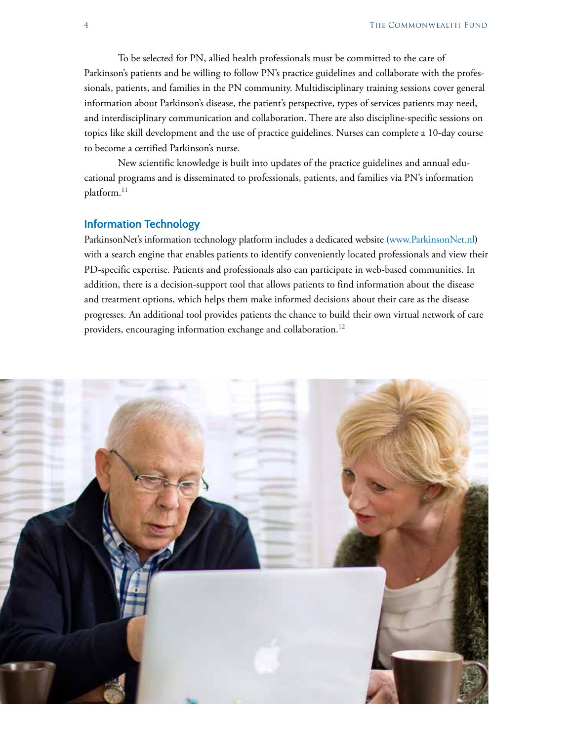To be selected for PN, allied health professionals must be committed to the care of Parkinson's patients and be willing to follow PN's practice guidelines and collaborate with the professionals, patients, and families in the PN community. Multidisciplinary training sessions cover general information about Parkinson's disease, the patient's perspective, types of services patients may need, and interdisciplinary communication and collaboration. There are also discipline-specific sessions on topics like skill development and the use of practice guidelines. Nurses can complete a 10-day course to become a certified Parkinson's nurse.

New scientific knowledge is built into updates of the practice guidelines and annual educational programs and is disseminated to professionals, patients, and families via PN's information platform.<sup>11</sup>

#### **Information Technology**

ParkinsonNet's information technology platform includes a dedicated website [\(www.ParkinsonNet.nl](http://www.ParkinsonNet.nl)) with a search engine that enables patients to identify conveniently located professionals and view their PD-specific expertise. Patients and professionals also can participate in web-based communities. In addition, there is a decision-support tool that allows patients to find information about the disease and treatment options, which helps them make informed decisions about their care as the disease progresses. An additional tool provides patients the chance to build their own virtual network of care providers, encouraging information exchange and collaboration.<sup>12</sup>

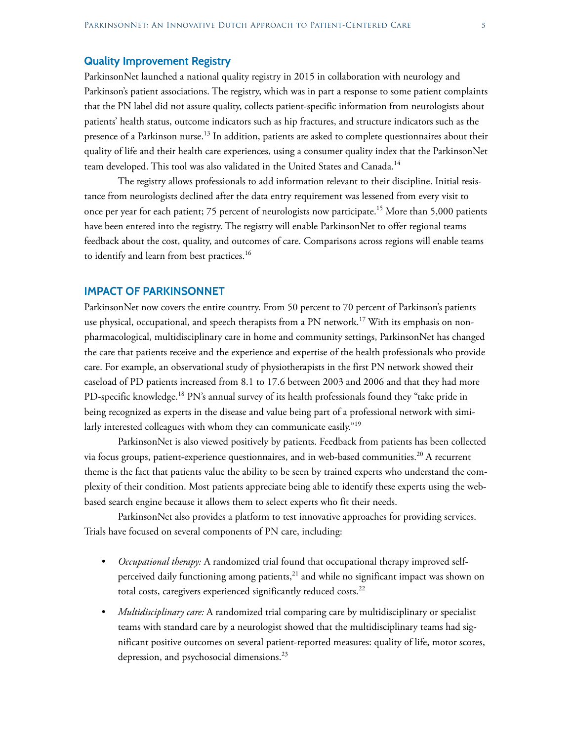#### **Quality Improvement Registry**

ParkinsonNet launched a national quality registry in 2015 in collaboration with neurology and Parkinson's patient associations. The registry, which was in part a response to some patient complaints that the PN label did not assure quality, collects patient-specific information from neurologists about patients' health status, outcome indicators such as hip fractures, and structure indicators such as the presence of a Parkinson nurse.<sup>13</sup> In addition, patients are asked to complete questionnaires about their quality of life and their health care experiences, using a consumer quality index that the ParkinsonNet team developed. This tool was also validated in the United States and Canada.14

The registry allows professionals to add information relevant to their discipline. Initial resistance from neurologists declined after the data entry requirement was lessened from every visit to once per year for each patient; 75 percent of neurologists now participate.<sup>15</sup> More than 5,000 patients have been entered into the registry. The registry will enable ParkinsonNet to offer regional teams feedback about the cost, quality, and outcomes of care. Comparisons across regions will enable teams to identify and learn from best practices.<sup>16</sup>

#### **IMPACT OF PARKINSONNET**

ParkinsonNet now covers the entire country. From 50 percent to 70 percent of Parkinson's patients use physical, occupational, and speech therapists from a PN network.<sup>17</sup> With its emphasis on nonpharmacological, multidisciplinary care in home and community settings, ParkinsonNet has changed the care that patients receive and the experience and expertise of the health professionals who provide care. For example, an observational study of physiotherapists in the first PN network showed their caseload of PD patients increased from 8.1 to 17.6 between 2003 and 2006 and that they had more PD-specific knowledge.<sup>18</sup> PN's annual survey of its health professionals found they "take pride in being recognized as experts in the disease and value being part of a professional network with similarly interested colleagues with whom they can communicate easily."<sup>19</sup>

ParkinsonNet is also viewed positively by patients. Feedback from patients has been collected via focus groups, patient-experience questionnaires, and in web-based communities.<sup>20</sup> A recurrent theme is the fact that patients value the ability to be seen by trained experts who understand the complexity of their condition. Most patients appreciate being able to identify these experts using the webbased search engine because it allows them to select experts who fit their needs.

ParkinsonNet also provides a platform to test innovative approaches for providing services. Trials have focused on several components of PN care, including:

- *• Occupational therapy:* A randomized trial found that occupational therapy improved selfperceived daily functioning among patients, $21$  and while no significant impact was shown on total costs, caregivers experienced significantly reduced costs.<sup>22</sup>
- *• Multidisciplinary care:* A randomized trial comparing care by multidisciplinary or specialist teams with standard care by a neurologist showed that the multidisciplinary teams had significant positive outcomes on several patient-reported measures: quality of life, motor scores, depression, and psychosocial dimensions.<sup>23</sup>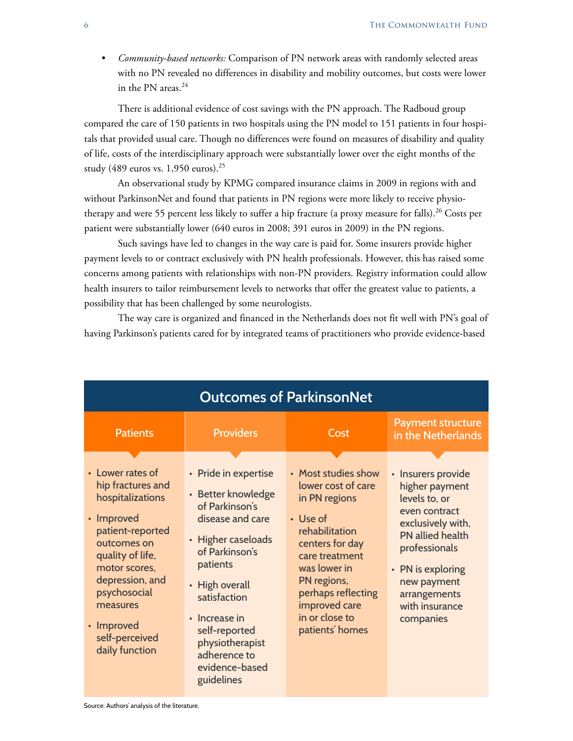*• Community-based networks:* Comparison of PN network areas with randomly selected areas with no PN revealed no differences in disability and mobility outcomes, but costs were lower in the PN areas. $24$ 

There is additional evidence of cost savings with the PN approach. The Radboud group compared the care of 150 patients in two hospitals using the PN model to 151 patients in four hospitals that provided usual care. Though no differences were found on measures of disability and quality of life, costs of the interdisciplinary approach were substantially lower over the eight months of the study (489 euros vs. 1,950 euros).25

An observational study by KPMG compared insurance claims in 2009 in regions with and without ParkinsonNet and found that patients in PN regions were more likely to receive physiotherapy and were 55 percent less likely to suffer a hip fracture (a proxy measure for falls).<sup>26</sup> Costs per patient were substantially lower (640 euros in 2008; 391 euros in 2009) in the PN regions.

Such savings have led to changes in the way care is paid for. Some insurers provide higher payment levels to or contract exclusively with PN health professionals. However, this has raised some concerns among patients with relationships with non-PN providers. Registry information could allow health insurers to tailor reimbursement levels to networks that offer the greatest value to patients, a possibility that has been challenged by some neurologists.

The way care is organized and financed in the Netherlands does not fit well with PN's goal of having Parkinson's patients cared for by integrated teams of practitioners who provide evidence-based

| <b>Outcomes of ParkinsonNet</b>                                                                                                                                                                                                                  |                                                                                                                                                                                                                                                                             |                                                                                                                                                                                                                                          |                                                                                                                                                                                                                                       |
|--------------------------------------------------------------------------------------------------------------------------------------------------------------------------------------------------------------------------------------------------|-----------------------------------------------------------------------------------------------------------------------------------------------------------------------------------------------------------------------------------------------------------------------------|------------------------------------------------------------------------------------------------------------------------------------------------------------------------------------------------------------------------------------------|---------------------------------------------------------------------------------------------------------------------------------------------------------------------------------------------------------------------------------------|
| <b>Patients</b>                                                                                                                                                                                                                                  | <b>Providers</b>                                                                                                                                                                                                                                                            | Cost                                                                                                                                                                                                                                     | <b>Payment structure</b><br>in the Netherlands                                                                                                                                                                                        |
| • Lower rates of<br>hip fractures and<br>hospitalizations<br>• Improved<br>patient-reported<br>outcomes on<br>quality of life,<br>motor scores,<br>depression, and<br>psychosocial<br>measures<br>• Improved<br>self-perceived<br>daily function | • Pride in expertise<br>• Better knowledge<br>of Parkinson's<br>disease and care<br>• Higher caseloads<br>of Parkinson's<br>patients<br>• High overall<br>satisfaction<br>• Increase in<br>self-reported<br>physiotherapist<br>adherence to<br>evidence-based<br>guidelines | • Most studies show<br>lower cost of care<br>in PN regions<br>• Use of<br>rehabilitation<br>centers for day<br>care treatment<br>was lower in<br>PN regions,<br>perhaps reflecting<br>improved care<br>in or close to<br>patients' homes | • Insurers provide<br>higher payment<br>levels to, or<br>even contract<br>exclusively with,<br><b>PN</b> allied health<br>professionals<br>PN is exploring<br>$\bullet$<br>new payment<br>arrangements<br>with insurance<br>companies |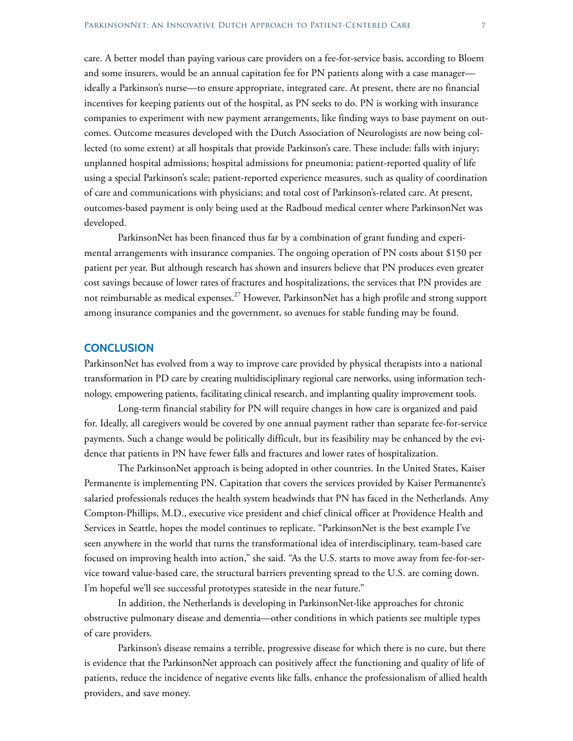care. A better model than paying various care providers on a fee-for-service basis, according to Bloem and some insurers, would be an annual capitation fee for PN patients along with a case manager ideally a Parkinson's nurse—to ensure appropriate, integrated care. At present, there are no financial incentives for keeping patients out of the hospital, as PN seeks to do. PN is working with insurance companies to experiment with new payment arrangements, like finding ways to base payment on outcomes. Outcome measures developed with the Dutch Association of Neurologists are now being collected (to some extent) at all hospitals that provide Parkinson's care. These include: falls with injury; unplanned hospital admissions; hospital admissions for pneumonia; patient-reported quality of life using a special Parkinson's scale; patient-reported experience measures, such as quality of coordination of care and communications with physicians; and total cost of Parkinson's-related care. At present, outcomes-based payment is only being used at the Radboud medical center where ParkinsonNet was

ParkinsonNet has been financed thus far by a combination of grant funding and experimental arrangements with insurance companies. The ongoing operation of PN costs about \$150 per patient per year. But although research has shown and insurers believe that PN produces even greater cost savings because of lower rates of fractures and hospitalizations, the services that PN provides are not reimbursable as medical expenses.<sup>27</sup> However, ParkinsonNet has a high profile and strong support among insurance companies and the government, so avenues for stable funding may be found.

#### **CONCLUSION**

developed.

ParkinsonNet has evolved from a way to improve care provided by physical therapists into a national transformation in PD care by creating multidisciplinary regional care networks, using information technology, empowering patients, facilitating clinical research, and implanting quality improvement tools.

Long-term financial stability for PN will require changes in how care is organized and paid for. Ideally, all caregivers would be covered by one annual payment rather than separate fee-for-service payments. Such a change would be politically difficult, but its feasibility may be enhanced by the evidence that patients in PN have fewer falls and fractures and lower rates of hospitalization.

The ParkinsonNet approach is being adopted in other countries. In the United States, Kaiser Permanente is implementing PN. Capitation that covers the services provided by Kaiser Permanente's salaried professionals reduces the health system headwinds that PN has faced in the Netherlands. Amy Compton-Phillips, M.D., executive vice president and chief clinical officer at Providence Health and Services in Seattle, hopes the model continues to replicate. "ParkinsonNet is the best example I've seen anywhere in the world that turns the transformational idea of interdisciplinary, team-based care focused on improving health into action," she said. "As the U.S. starts to move away from fee-for-service toward value-based care, the structural barriers preventing spread to the U.S. are coming down. I'm hopeful we'll see successful prototypes stateside in the near future."

In addition, the Netherlands is developing in ParkinsonNet-like approaches for chronic obstructive pulmonary disease and dementia—other conditions in which patients see multiple types of care providers.

Parkinson's disease remains a terrible, progressive disease for which there is no cure, but there is evidence that the ParkinsonNet approach can positively affect the functioning and quality of life of patients, reduce the incidence of negative events like falls, enhance the professionalism of allied health providers, and save money.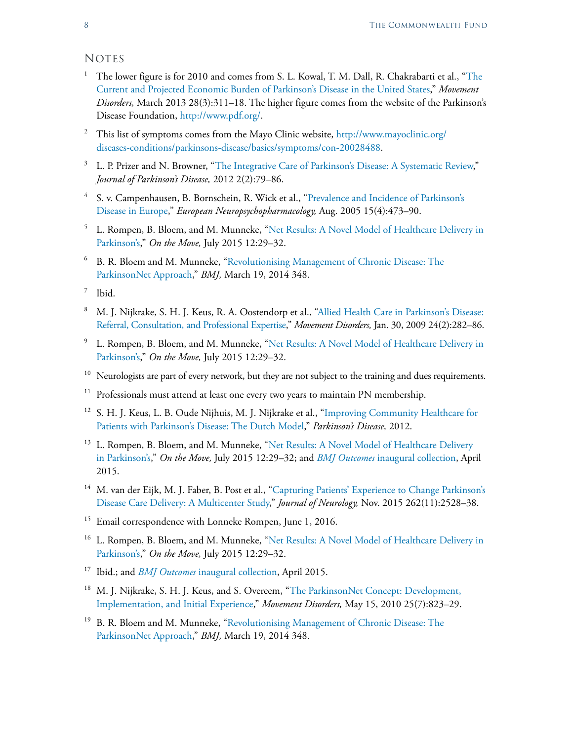### **NOTES**

- <sup>1</sup> The lower figure is for 2010 and comes from S. L. Kowal, T. M. Dall, R. Chakrabarti et al., "The [Current and Projected Economic Burden of Parkinson's Disease in the United States,](http://onlinelibrary.wiley.com/doi/10.1002/mds.25292/abstract)" *Movement Disorders,* March 2013 28(3):311–18. The higher figure comes from the website of the Parkinson's Disease Foundation, [http://www.pdf.org/.](http://www.pdf.org/)
- <sup>2</sup> This list of symptoms comes from the Mayo Clinic website, [http://www.mayoclinic.org/](http://www.mayoclinic.org/diseases-conditions/parkinsons-disease/basics/symptoms/con-20028488) [diseases-conditions/parkinsons-disease/basics/symptoms/con-20028488.](http://www.mayoclinic.org/diseases-conditions/parkinsons-disease/basics/symptoms/con-20028488)
- <sup>3</sup> L. P. Prizer and N. Browner, "[The Integrative Care of Parkinson's Disease: A Systematic Review](http://content.iospress.com/articles/journal-of-parkinsons-disease/jpd12075)," *Journal of Parkinson's Disease,* 2012 2(2):79–86.
- <sup>4</sup> S. v. Campenhausen, B. Bornschein, R. Wick et al., "[Prevalence and Incidence of Parkinson's](http://www.europeanneuropsychopharmacology.com/article/S0924-977X(05)00070-2/abstract)  [Disease in Europe](http://www.europeanneuropsychopharmacology.com/article/S0924-977X(05)00070-2/abstract)," *European Neuropsychopharmacology,* Aug. 2005 15(4):473–90.
- <sup>5</sup> L. Rompen, B. Bloem, and M. Munneke, "[Net Results: A Novel Model of Healthcare Delivery in](http://parkinsonsmovement.com/wp-content/uploads/2015/07/OTM-121.pdf)  [Parkinson's,](http://parkinsonsmovement.com/wp-content/uploads/2015/07/OTM-121.pdf)" *On the Move,* July 2015 12:29–32.
- <sup>6</sup> B. R. Bloem and M. Munneke, "[Revolutionising Management of Chronic Disease: The](http://www.bmj.com/content/348/bmj.g1838.long)  [ParkinsonNet Approach](http://www.bmj.com/content/348/bmj.g1838.long)," *BMJ,* March 19, 2014 348.

<sup>7</sup> Ibid.

- <sup>8</sup> M. J. Nijkrake, S. H. J. Keus, R. A. Oostendorp et al., ["Allied Health Care in Parkinson's Disease:](http://onlinelibrary.wiley.com/doi/10.1002/mds.22377/abstract)  [Referral, Consultation, and Professional Expertise,](http://onlinelibrary.wiley.com/doi/10.1002/mds.22377/abstract)" *Movement Disorders,* Jan. 30, 2009 24(2):282–86.
- <sup>9</sup> L. Rompen, B. Bloem, and M. Munneke, "Net Results: A Novel Model of Healthcare Delivery in [Parkinson's,](http://parkinsonsmovement.com/wp-content/uploads/2015/07/OTM-121.pdf)" *On the Move,* July 2015 12:29–32.
- <sup>10</sup> Neurologists are part of every network, but they are not subject to the training and dues requirements.
- $11$  Professionals must attend at least one every two years to maintain PN membership.
- <sup>12</sup> S. H. J. Keus, L. B. Oude Nijhuis, M. J. Nijkrake et al., "Improving Community Healthcare for [Patients with Parkinson's Disease: The Dutch Model,](https://www.hindawi.com/journals/pd/2012/543426/)" *Parkinson's Disease,* 2012.
- <sup>13</sup> L. Rompen, B. Bloem, and M. Munneke, "Net Results: A Novel Model of Healthcare Delivery [in Parkinson's](http://parkinsonsmovement.com/wp-content/uploads/2015/07/OTM-121.pdf)," *On the Move,* July 2015 12:29–32; and *BMJ Outcomes* [inaugural collection](http://15762-presscdn-0-11.pagely.netdna-cdn.com/wp-content/uploads/2016/08/BMJ-Outcomes-Article-Collection.pdf), April 2015.
- <sup>14</sup> M. van der Eijk, M. J. Faber, B. Post et al., "Capturing Patients' Experience to Change Parkinson's [Disease Care Delivery: A Multicenter Study,](https://www.ncbi.nlm.nih.gov/pmc/articles/PMC4639577/)" *Journal of Neurology,* Nov. 2015 262(11):2528–38.
- <sup>15</sup> Email correspondence with Lonneke Rompen, June 1, 2016.
- <sup>16</sup> L. Rompen, B. Bloem, and M. Munneke, "Net Results: A Novel Model of Healthcare Delivery in [Parkinson's,](http://parkinsonsmovement.com/wp-content/uploads/2015/07/OTM-121.pdf)" *On the Move,* July 2015 12:29–32.
- <sup>17</sup> Ibid.; and *BMJ Outcomes* [inaugural collection](http://15762-presscdn-0-11.pagely.netdna-cdn.com/wp-content/uploads/2016/08/BMJ-Outcomes-Article-Collection.pdf), April 2015.
- <sup>18</sup> M. J. Nijkrake, S. H. J. Keus, and S. Overeem, "The ParkinsonNet Concept: Development, [Implementation, and Initial Experience,](http://onlinelibrary.wiley.com/doi/10.1002/mds.22813/abstract)" *Movement Disorders,* May 15, 2010 25(7):823–29.
- <sup>19</sup> B. R. Bloem and M. Munneke, "[Revolutionising Management of Chronic Disease: The](http://www.bmj.com/content/348/bmj.g1838.long)  [ParkinsonNet Approach](http://www.bmj.com/content/348/bmj.g1838.long)," *BMJ,* March 19, 2014 348.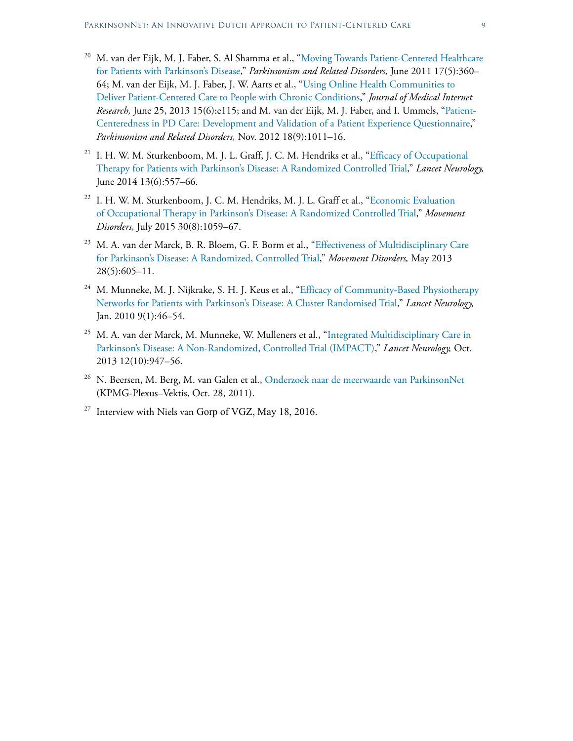- <sup>20</sup> M. van der Eijk, M. J. Faber, S. Al Shamma et al., "Moving Towards Patient-Centered Healthcare [for Patients with Parkinson's Disease,](http://www.prd-journal.com/article/S1353-8020(11)00054-X/abstract)" *Parkinsonism and Related Disorders,* June 2011 17(5):360– 64; M. van der Eijk, M. J. Faber, J. W. Aarts et al., "[Using Online Health Communities to](https://www.ncbi.nlm.nih.gov/pmc/articles/PMC3713879/)  [Deliver Patient-Centered Care to People with Chronic Conditions,](https://www.ncbi.nlm.nih.gov/pmc/articles/PMC3713879/)" *Journal of Medical Internet Research,* June 25, 2013 15(6):e115; and M. van der Eijk, M. J. Faber, and I. Ummels, "[Patient-](http://www.prd-journal.com/article/S1353-8020(12)00205-2/abstract)[Centeredness in PD Care: Development and Validation of a Patient Experience Questionnaire](http://www.prd-journal.com/article/S1353-8020(12)00205-2/abstract)," *Parkinsonism and Related Disorders,* Nov. 2012 18(9):1011–16.
- <sup>21</sup> I. H. W. M. Sturkenboom, M. J. L. Graff, J. C. M. Hendriks et al., "Efficacy of Occupational [Therapy for Patients with Parkinson's Disease: A Randomized Controlled Trial](http://www.thelancet.com/journals/laneur/article/PIIS1474-4422(14)70055-9/abstract)," *Lancet Neurology,* June 2014 13(6):557–66.
- <sup>22</sup> I. H. W. M. Sturkenboom, J. C. M. Hendriks, M. J. L. Graff et al., "Economic Evaluation [of Occupational Therapy in Parkinson's Disease: A Randomized Controlled Trial,](http://onlinelibrary.wiley.com/doi/10.1002/mds.26217/abstract)" *Movement Disorders,* July 2015 30(8):1059–67.
- <sup>23</sup> M. A. van der Marck, B. R. Bloem, G. F. Borm et al., "Effectiveness of Multidisciplinary Care [for Parkinson's Disease: A Randomized, Controlled Trial](http://onlinelibrary.wiley.com/doi/10.1002/mds.25194/abstract)," *Movement Disorders,* May 2013 28(5):605–11.
- <sup>24</sup> M. Munneke, M. J. Nijkrake, S. H. J. Keus et al., "Efficacy of Community-Based Physiotherapy [Networks for Patients with Parkinson's Disease: A Cluster Randomised Trial](http://www.thelancet.com/journals/laneur/article/PIIS1474-4422(09)70327-8/abstract)," *Lancet Neurology,* Jan. 2010 9(1):46–54.
- <sup>25</sup> M. A. van der Marck, M. Munneke, W. Mulleners et al., "Integrated Multidisciplinary Care in [Parkinson's Disease: A Non-Randomized, Controlled Trial \(IMPACT\)](http://www.thelancet.com/journals/laneur/article/PIIS1474-4422(13)70196-0/abstract)," *Lancet Neurology,* Oct. 2013 12(10):947–56.
- <sup>26</sup> N. Beersen, M. Berg, M. van Galen et al., [Onderzoek naar de meerwaarde van ParkinsonNet](http://www.parkinsonnet.nl/media/2655614/rapportage_parkinson_kpmg-plexus___beersen_et_al__2011_.pdf) (KPMG-Plexus–Vektis, Oct. 28, 2011).
- <sup>27</sup> Interview with Niels van Gorp of VGZ, May 18, 2016.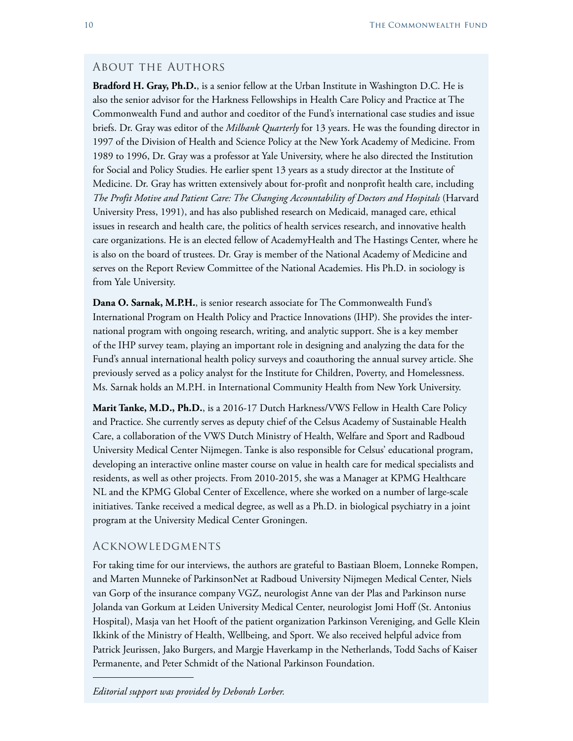#### About the Authors

**Bradford H. Gray, Ph.D.**, is a senior fellow at the Urban Institute in Washington D.C. He is also the senior advisor for the Harkness Fellowships in Health Care Policy and Practice at The Commonwealth Fund and author and coeditor of the Fund's international case studies and issue briefs. Dr. Gray was editor of the *Milbank Quarterly* for 13 years. He was the founding director in 1997 of the Division of Health and Science Policy at the New York Academy of Medicine. From 1989 to 1996, Dr. Gray was a professor at Yale University, where he also directed the Institution for Social and Policy Studies. He earlier spent 13 years as a study director at the Institute of Medicine. Dr. Gray has written extensively about for-profit and nonprofit health care, including *The Profit Motive and Patient Care: The Changing Accountability of Doctors and Hospitals* (Harvard University Press, 1991), and has also published research on Medicaid, managed care, ethical issues in research and health care, the politics of health services research, and innovative health care organizations. He is an elected fellow of AcademyHealth and The Hastings Center, where he is also on the board of trustees. Dr. Gray is member of the National Academy of Medicine and serves on the Report Review Committee of the National Academies. His Ph.D. in sociology is from Yale University.

**Dana O. Sarnak, M.P.H.**, is senior research associate for The Commonwealth Fund's International Program on Health Policy and Practice Innovations (IHP). She provides the international program with ongoing research, writing, and analytic support. She is a key member of the IHP survey team, playing an important role in designing and analyzing the data for the Fund's annual international health policy surveys and coauthoring the annual survey article. She previously served as a policy analyst for the Institute for Children, Poverty, and Homelessness. Ms. Sarnak holds an M.P.H. in International Community Health from New York University.

**Marit Tanke, M.D., Ph.D.**, is a 2016-17 Dutch Harkness/VWS Fellow in Health Care Policy and Practice. She currently serves as deputy chief of the Celsus Academy of Sustainable Health Care, a collaboration of the VWS Dutch Ministry of Health, Welfare and Sport and Radboud University Medical Center Nijmegen. Tanke is also responsible for Celsus' educational program, developing an interactive online master course on value in health care for medical specialists and residents, as well as other projects. From 2010-2015, she was a Manager at KPMG Healthcare NL and the KPMG Global Center of Excellence, where she worked on a number of large-scale initiatives. Tanke received a medical degree, as well as a Ph.D. in biological psychiatry in a joint program at the University Medical Center Groningen.

#### Acknowledgments

For taking time for our interviews, the authors are grateful to Bastiaan Bloem, Lonneke Rompen, and Marten Munneke of ParkinsonNet at Radboud University Nijmegen Medical Center, Niels van Gorp of the insurance company VGZ, neurologist Anne van der Plas and Parkinson nurse Jolanda van Gorkum at Leiden University Medical Center, neurologist Jomi Hoff (St. Antonius Hospital), Masja van het Hooft of the patient organization Parkinson Vereniging, and Gelle Klein Ikkink of the Ministry of Health, Wellbeing, and Sport. We also received helpful advice from Patrick Jeurissen, Jako Burgers, and Margje Haverkamp in the Netherlands, Todd Sachs of Kaiser Permanente, and Peter Schmidt of the National Parkinson Foundation.